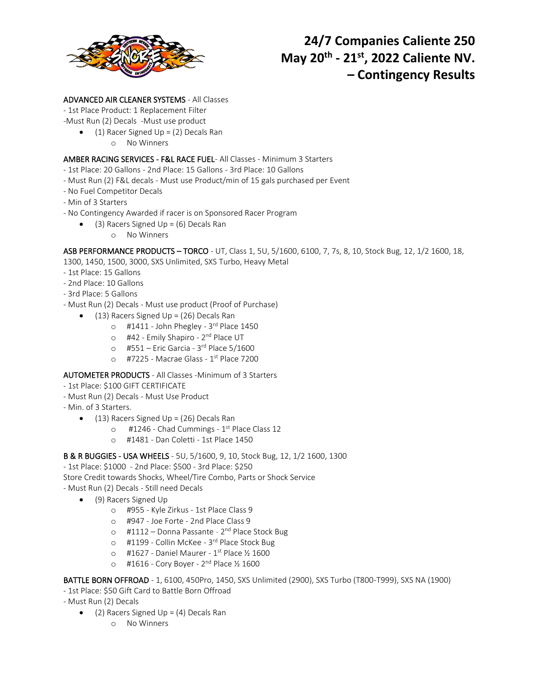

## ADVANCED AIR CLEANER SYSTEMS - All Classes

- 1st Place Product: 1 Replacement Filter

- -Must Run (2) Decals -Must use product
	- (1) Racer Signed Up = (2) Decals Ran
		- o No Winners

## AMBER RACING SERVICES - F&L RACE FUEL- All Classes - Minimum 3 Starters

- 1st Place: 20 Gallons 2nd Place: 15 Gallons 3rd Place: 10 Gallons
- Must Run (2) F&L decals Must use Product/min of 15 gals purchased per Event
- No Fuel Competitor Decals
- Min of 3 Starters
- No Contingency Awarded if racer is on Sponsored Racer Program
	- (3) Racers Signed Up =  $(6)$  Decals Ran
		- o No Winners

ASB PERFORMANCE PRODUCTS – TORCO - UT, Class 1, 5U, 5/1600, 6100, 7, 7s, 8, 10, Stock Bug, 12, 1/2 1600, 18,

- 1300, 1450, 1500, 3000, SXS Unlimited, SXS Turbo, Heavy Metal
- 1st Place: 15 Gallons
- 2nd Place: 10 Gallons
- 3rd Place: 5 Gallons
- Must Run (2) Decals Must use product (Proof of Purchase)
	- (13) Racers Signed Up = (26) Decals Ran
		- o #1411 John Phegley 3rd Place 1450
		- o #42 Emily Shapiro 2<sup>nd</sup> Place UT
		- o #551 Eric Garcia 3 rd Place 5/1600
		- o #7225 Macrae Glass 1<sup>st</sup> Place 7200

## AUTOMETER PRODUCTS - All Classes -Minimum of 3 Starters

- 1st Place: \$100 GIFT CERTIFICATE
- Must Run (2) Decals Must Use Product
- Min. of 3 Starters.
	- (13) Racers Signed Up = (26) Decals Ran
		- o #1246 Chad Cummings 1<sup>st</sup> Place Class 12
		- o #1481 Dan Coletti 1st Place 1450

B & R BUGGIES - USA WHEELS - 5U, 5/1600, 9, 10, Stock Bug, 12, 1/2 1600, 1300

- 1st Place: \$1000 2nd Place: \$500 3rd Place: \$250
- Store Credit towards Shocks, Wheel/Tire Combo, Parts or Shock Service
- Must Run (2) Decals Still need Decals
	- (9) Racers Signed Up
		- o #955 Kyle Zirkus 1st Place Class 9
		- o #947 Joe Forte 2nd Place Class 9
		- o #1112 Donna Passante 2<sup>nd</sup> Place Stock Bug
		- o #1199 Collin McKee 3<sup>rd</sup> Place Stock Bug
		- $\circ$  #1627 Daniel Maurer 1<sup>st</sup> Place ½ 1600
		- o #1616 Cory Boyer 2<sup>nd</sup> Place ½ 1600

BATTLE BORN OFFROAD - 1, 6100, 450Pro, 1450, SXS Unlimited (2900), SXS Turbo (T800-T999), SXS NA (1900)

- 1st Place: \$50 Gift Card to Battle Born Offroad

- Must Run (2) Decals

- (2) Racers Signed Up =  $(4)$  Decals Ran
	- o No Winners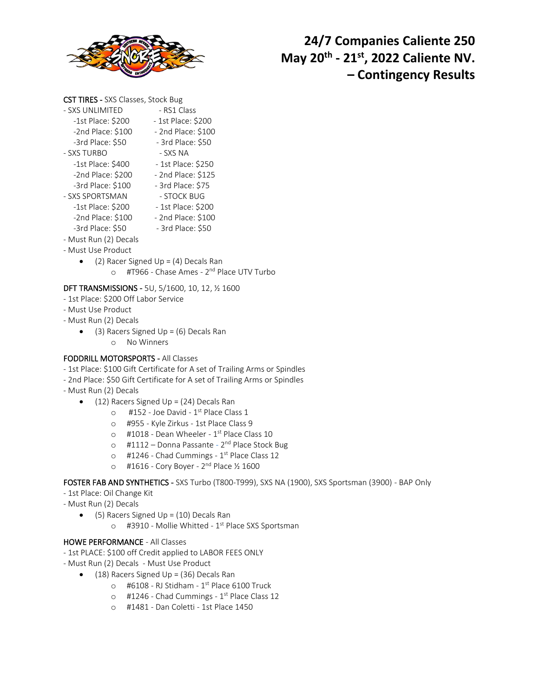

## CST TIRES - SXS Classes, Stock Bug

| - SXS UNLIMITED       | - RS1 Class        |
|-----------------------|--------------------|
| -1st Place: \$200     | - 1st Place: \$200 |
| -2nd Place: \$100     | - 2nd Place: \$100 |
| -3rd Place: \$50      | - 3rd Place: \$50  |
| - SXS TURBO           | - SXS NA           |
| -1st Place: \$400     | - 1st Place: \$250 |
| -2nd Place: \$200     | - 2nd Place: \$125 |
| -3rd Place: \$100     | - 3rd Place: \$75  |
| - SXS SPORTSMAN       | - STOCK BUG        |
| -1st Place: \$200     | - 1st Place: \$200 |
| $-2$ nd Place: \$100  | - 2nd Place: \$100 |
| -3rd Place: \$50      | - 3rd Place: \$50  |
| - Must Run (2) Decals |                    |

- Must Use Product
	- (2) Racer Signed Up = (4) Decals Ran o #T966 - Chase Ames - 2<sup>nd</sup> Place UTV Turbo

## DFT TRANSMISSIONS - 5U, 5/1600, 10, 12, ½ 1600

- 1st Place: \$200 Off Labor Service
- Must Use Product
- Must Run (2) Decals
	- (3) Racers Signed Up =  $(6)$  Decals Ran
		- o No Winners

## FODDRILL MOTORSPORTS - All Classes

- 1st Place: \$100 Gift Certificate for A set of Trailing Arms or Spindles
- 2nd Place: \$50 Gift Certificate for A set of Trailing Arms or Spindles
- Must Run (2) Decals
	- $\bullet$  (12) Racers Signed Up = (24) Decals Ran
		- $\circ$  #152 Joe David 1<sup>st</sup> Place Class 1
		- o #955 Kyle Zirkus 1st Place Class 9
		- $\circ$  #1018 Dean Wheeler 1st Place Class 10
		- o #1112 Donna Passante 2<sup>nd</sup> Place Stock Bug
		- o #1246 Chad Cummings 1<sup>st</sup> Place Class 12
		- o #1616 Cory Boyer 2<sup>nd</sup> Place ½ 1600

FOSTER FAB AND SYNTHETICS - SXS Turbo (T800-T999), SXS NA (1900), SXS Sportsman (3900) - BAP Only

- 1st Place: Oil Change Kit
- Must Run (2) Decals
	- $\bullet$  (5) Racers Signed Up = (10) Decals Ran
		- o #3910 Mollie Whitted 1<sup>st</sup> Place SXS Sportsman

#### HOWE PERFORMANCE - All Classes

- 1st PLACE: \$100 off Credit applied to LABOR FEES ONLY
- Must Run (2) Decals Must Use Product
	- (18) Racers Signed Up = (36) Decals Ran
		- $\circ$  #6108 RJ Stidham 1<sup>st</sup> Place 6100 Truck
		- o #1246 Chad Cummings 1<sup>st</sup> Place Class 12
		- o #1481 Dan Coletti 1st Place 1450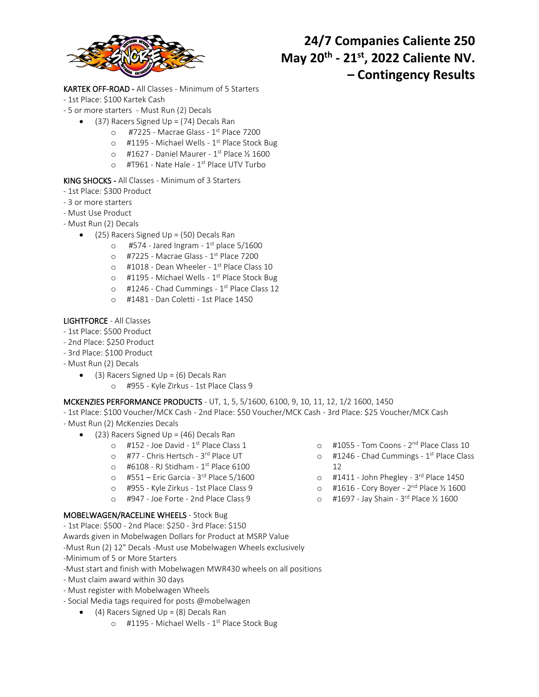

KARTEK OFF-ROAD - All Classes - Minimum of 5 Starters

- 1st Place: \$100 Kartek Cash
- 5 or more starters Must Run (2) Decals
	- (37) Racers Signed Up = (74) Decals Ran
		- o #7225 Macrae Glass 1<sup>st</sup> Place 7200
		- o #1195 Michael Wells 1<sup>st</sup> Place Stock Bug
		- $\circ$  #1627 Daniel Maurer 1<sup>st</sup> Place ½ 1600
		- o #T961 Nate Hale 1<sup>st</sup> Place UTV Turbo

## KING SHOCKS - All Classes - Minimum of 3 Starters

- 1st Place: \$300 Product
- 3 or more starters
- Must Use Product
- Must Run (2) Decals
	- (25) Racers Signed Up = (50) Decals Ran
		- $\circ$  #574 Jared Ingram 1st place 5/1600
		- o #7225 Macrae Glass 1<sup>st</sup> Place 7200
		- $\circ$  #1018 Dean Wheeler 1<sup>st</sup> Place Class 10
		- o #1195 Michael Wells 1<sup>st</sup> Place Stock Bug
		- o #1246 Chad Cummings 1<sup>st</sup> Place Class 12
		- o #1481 Dan Coletti 1st Place 1450

## LIGHTFORCE - All Classes

- 1st Place: \$500 Product
- 2nd Place: \$250 Product
- 3rd Place: \$100 Product
- Must Run (2) Decals
	- $\bullet$  (3) Racers Signed Up = (6) Decals Ran
		- o #955 Kyle Zirkus 1st Place Class 9

#### MCKENZIES PERFORMANCE PRODUCTS - UT, 1, 5, 5/1600, 6100, 9, 10, 11, 12, 1/2 1600, 1450

- 1st Place: \$100 Voucher/MCK Cash 2nd Place: \$50 Voucher/MCK Cash 3rd Place: \$25 Voucher/MCK Cash
- Must Run (2) McKenzies Decals
	- (23) Racers Signed Up = (46) Decals Ran
		- $\circ$  #152 Joe David 1<sup>st</sup> Place Class 1
		- o #77 Chris Hertsch 3<sup>rd</sup> Place UT
		- $\circ$  #6108 RJ Stidham 1<sup>st</sup> Place 6100
		- o #551 Eric Garcia 3<sup>rd</sup> Place 5/1600
		- o #955 Kyle Zirkus 1st Place Class 9
		- o #947 Joe Forte 2nd Place Class 9

## MOBELWAGEN/RACELINE WHEELS - Stock Bug

- 1st Place: \$500 2nd Place: \$250 3rd Place: \$150
- Awards given in Mobelwagen Dollars for Product at MSRP Value
- -Must Run (2) 12" Decals -Must use Mobelwagen Wheels exclusively
- -Minimum of 5 or More Starters
- -Must start and finish with Mobelwagen MWR430 wheels on all positions
- Must claim award within 30 days
- Must register with Mobelwagen Wheels
- Social Media tags required for posts @mobelwagen
	- $\bullet$  (4) Racers Signed Up = (8) Decals Ran
		- o #1195 Michael Wells 1<sup>st</sup> Place Stock Bug
- o #1055 Tom Coons 2<sup>nd</sup> Place Class 10
- o #1246 Chad Cummings 1<sup>st</sup> Place Class 12
- o #1411 John Phegley 3<sup>rd</sup> Place 1450
- o #1616 Cory Boyer 2<sup>nd</sup> Place ½ 1600
- o #1697 Jay Shain 3<sup>rd</sup> Place ½ 1600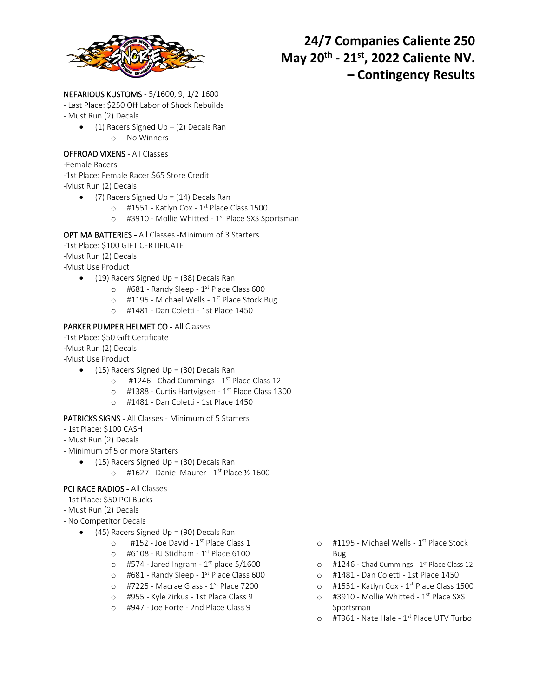

## NEFARIOUS KUSTOMS - 5/1600, 9, 1/2 1600

- Last Place: \$250 Off Labor of Shock Rebuilds
- Must Run (2) Decals
	- (1) Racers Signed Up (2) Decals Ran o No Winners

#### OFFROAD VIXENS - All Classes

- -Female Racers
- -1st Place: Female Racer \$65 Store Credit
- -Must Run (2) Decals
	- (7) Racers Signed Up =  $(14)$  Decals Ran
		- $\circ$  #1551 Katlyn Cox 1<sup>st</sup> Place Class 1500
		- o #3910 Mollie Whitted 1<sup>st</sup> Place SXS Sportsman

#### OPTIMA BATTERIES - All Classes -Minimum of 3 Starters

- -1st Place: \$100 GIFT CERTIFICATE
- -Must Run (2) Decals
- -Must Use Product
	- $\bullet$  (19) Racers Signed Up = (38) Decals Ran
		- o #681 Randy Sleep 1<sup>st</sup> Place Class 600
		- o #1195 Michael Wells 1<sup>st</sup> Place Stock Bug
		- o #1481 Dan Coletti 1st Place 1450

## PARKER PUMPER HELMET CO - All Classes

-1st Place: \$50 Gift Certificate

- -Must Run (2) Decals
- -Must Use Product
	- $\bullet$  (15) Racers Signed Up = (30) Decals Ran
		- o #1246 Chad Cummings 1<sup>st</sup> Place Class 12
		- o #1388 Curtis Hartvigsen 1<sup>st</sup> Place Class 1300
		- o #1481 Dan Coletti 1st Place 1450

#### PATRICKS SIGNS - All Classes - Minimum of 5 Starters

- 1st Place: \$100 CASH
- Must Run (2) Decals
- Minimum of 5 or more Starters
	- $\bullet$  (15) Racers Signed Up = (30) Decals Ran
		- $\circ$  #1627 Daniel Maurer 1<sup>st</sup> Place ½ 1600

## PCI RACE RADIOS - All Classes

- 1st Place: \$50 PCI Bucks
- Must Run (2) Decals
- No Competitor Decals
	- (45) Racers Signed Up = (90) Decals Ran
		- $\circ$  #152 Joe David 1<sup>st</sup> Place Class 1
		- $\circ$  #6108 RJ Stidham 1<sup>st</sup> Place 6100
		- $\circ$  #574 Jared Ingram 1st place 5/1600
		- o #681 Randy Sleep 1<sup>st</sup> Place Class 600
		- o #7225 Macrae Glass 1<sup>st</sup> Place 7200
		- o #955 Kyle Zirkus 1st Place Class 9
		- o #947 Joe Forte 2nd Place Class 9
- o #1195 Michael Wells 1<sup>st</sup> Place Stock Bug
- o #1246 Chad Cummings 1st Place Class 12
- o #1481 Dan Coletti 1st Place 1450
- o #1551 Katlyn Cox 1<sup>st</sup> Place Class 1500
- o #3910 Mollie Whitted 1<sup>st</sup> Place SXS Sportsman
- o #T961 Nate Hale 1<sup>st</sup> Place UTV Turbo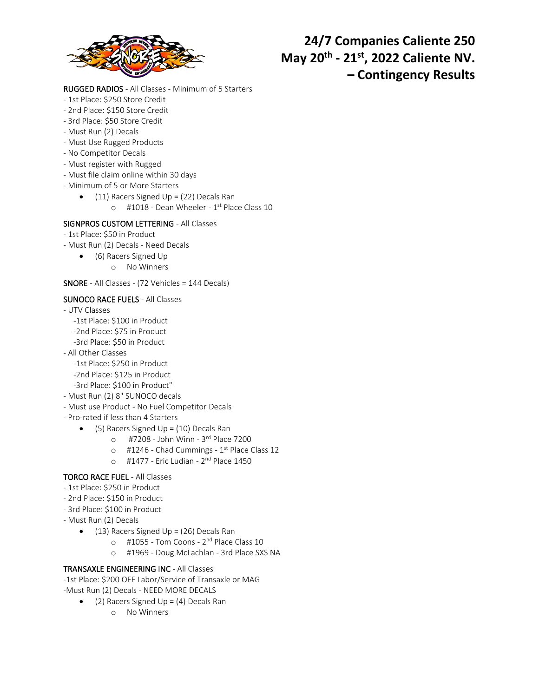

## RUGGED RADIOS - All Classes - Minimum of 5 Starters

- 1st Place: \$250 Store Credit
- 2nd Place: \$150 Store Credit
- 3rd Place: \$50 Store Credit
- Must Run (2) Decals
- Must Use Rugged Products
- No Competitor Decals
- Must register with Rugged
- Must file claim online within 30 days
- Minimum of 5 or More Starters
	- $\bullet$  (11) Racers Signed Up = (22) Decals Ran
		- o #1018 Dean Wheeler 1<sup>st</sup> Place Class 10

## SIGNPROS CUSTOM LETTERING - All Classes

- 1st Place: \$50 in Product
- Must Run (2) Decals Need Decals
	- (6) Racers Signed Up
		- o No Winners

## SNORE - All Classes - (72 Vehicles = 144 Decals)

## SUNOCO RACE FUELS - All Classes

- UTV Classes
	- -1st Place: \$100 in Product
	- -2nd Place: \$75 in Product
	- -3rd Place: \$50 in Product
- All Other Classes
	- -1st Place: \$250 in Product
	- -2nd Place: \$125 in Product
	- -3rd Place: \$100 in Product"
- Must Run (2) 8" SUNOCO decals
- Must use Product No Fuel Competitor Decals
- Pro-rated if less than 4 Starters
	- (5) Racers Signed Up = (10) Decals Ran
		- o #7208 John Winn 3<sup>rd</sup> Place 7200
		- o #1246 Chad Cummings 1<sup>st</sup> Place Class 12
		- o #1477 Eric Ludian 2<sup>nd</sup> Place 1450

## TORCO RACE FUEL - All Classes

- 1st Place: \$250 in Product
- 2nd Place: \$150 in Product
- 3rd Place: \$100 in Product
- Must Run (2) Decals
	- (13) Racers Signed Up = (26) Decals Ran
		- o #1055 Tom Coons 2<sup>nd</sup> Place Class 10
		- o #1969 Doug McLachlan 3rd Place SXS NA

## TRANSAXLE ENGINEERING INC - All Classes

-1st Place: \$200 OFF Labor/Service of Transaxle or MAG

- -Must Run (2) Decals NEED MORE DECALS
	- (2) Racers Signed Up =  $(4)$  Decals Ran
		- o No Winners